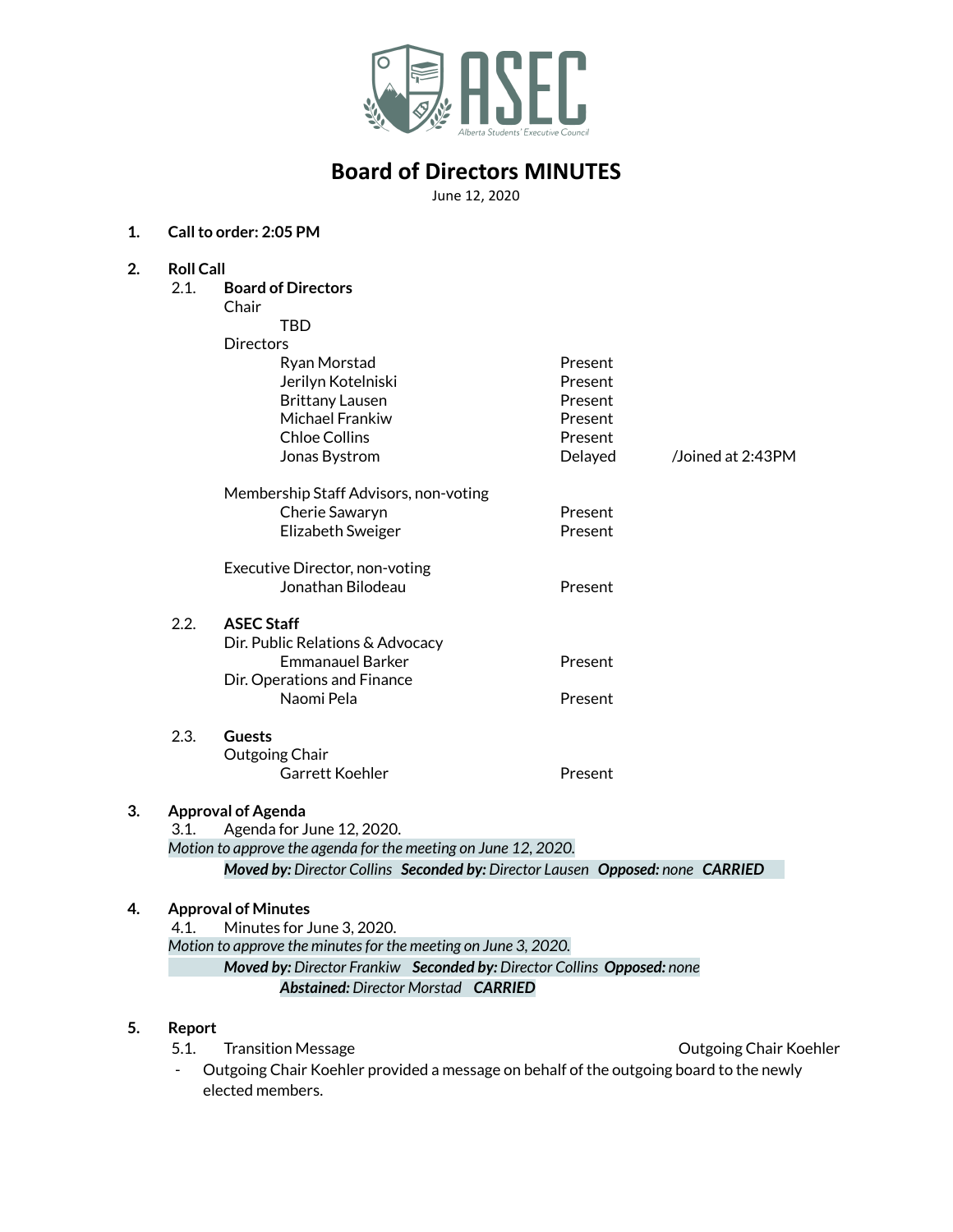

# **Board of Directors MINUTES**

June 12, 2020

### **1. Callto order: 2:05 PM**

| 2. | <b>Roll Call</b>                                               |                                                                               |         |                        |
|----|----------------------------------------------------------------|-------------------------------------------------------------------------------|---------|------------------------|
|    | 2.1.                                                           | <b>Board of Directors</b>                                                     |         |                        |
|    |                                                                | Chair                                                                         |         |                        |
|    |                                                                | <b>TBD</b>                                                                    |         |                        |
|    |                                                                | <b>Directors</b>                                                              |         |                        |
|    |                                                                | Ryan Morstad                                                                  | Present |                        |
|    |                                                                | Jerilyn Kotelniski                                                            | Present |                        |
|    |                                                                | <b>Brittany Lausen</b>                                                        | Present |                        |
|    |                                                                | Michael Frankiw                                                               | Present |                        |
|    |                                                                | <b>Chloe Collins</b>                                                          | Present |                        |
|    |                                                                | Jonas Bystrom                                                                 | Delayed | /Joined at 2:43PM      |
|    |                                                                | Membership Staff Advisors, non-voting                                         |         |                        |
|    |                                                                | Cherie Sawaryn                                                                | Present |                        |
|    |                                                                | Elizabeth Sweiger                                                             | Present |                        |
|    |                                                                | Executive Director, non-voting                                                |         |                        |
|    |                                                                | Jonathan Bilodeau                                                             | Present |                        |
|    | 2.2.                                                           | <b>ASEC Staff</b>                                                             |         |                        |
|    |                                                                | Dir. Public Relations & Advocacy                                              |         |                        |
|    |                                                                | <b>Emmanauel Barker</b>                                                       | Present |                        |
|    |                                                                | Dir. Operations and Finance                                                   |         |                        |
|    |                                                                | Naomi Pela                                                                    | Present |                        |
|    | 2.3.                                                           | <b>Guests</b>                                                                 |         |                        |
|    |                                                                | Outgoing Chair                                                                |         |                        |
|    |                                                                | Garrett Koehler                                                               | Present |                        |
| 3. | <b>Approval of Agenda</b>                                      |                                                                               |         |                        |
|    | Agenda for June 12, 2020.<br>3.1.                              |                                                                               |         |                        |
|    | Motion to approve the agenda for the meeting on June 12, 2020. |                                                                               |         |                        |
|    |                                                                | Moved by: Director Collins Seconded by: Director Lausen Opposed: none CARRIED |         |                        |
| 4. | <b>Approval of Minutes</b>                                     |                                                                               |         |                        |
|    | Minutes for June 3, 2020.<br>4.1.                              |                                                                               |         |                        |
|    | Motion to approve the minutes for the meeting on June 3, 2020. |                                                                               |         |                        |
|    |                                                                | Moved by: Director Frankiw Seconded by: Director Collins Opposed: none        |         |                        |
|    |                                                                | <b>Abstained: Director Morstad CARRIED</b>                                    |         |                        |
| 5. | <b>Report</b>                                                  |                                                                               |         |                        |
|    | 5.1.                                                           | <b>Transition Message</b>                                                     |         | Outgoing Chair Koehler |

- Outgoing Chair Koehler provided a message on behalf of the outgoing board to the newly elected members.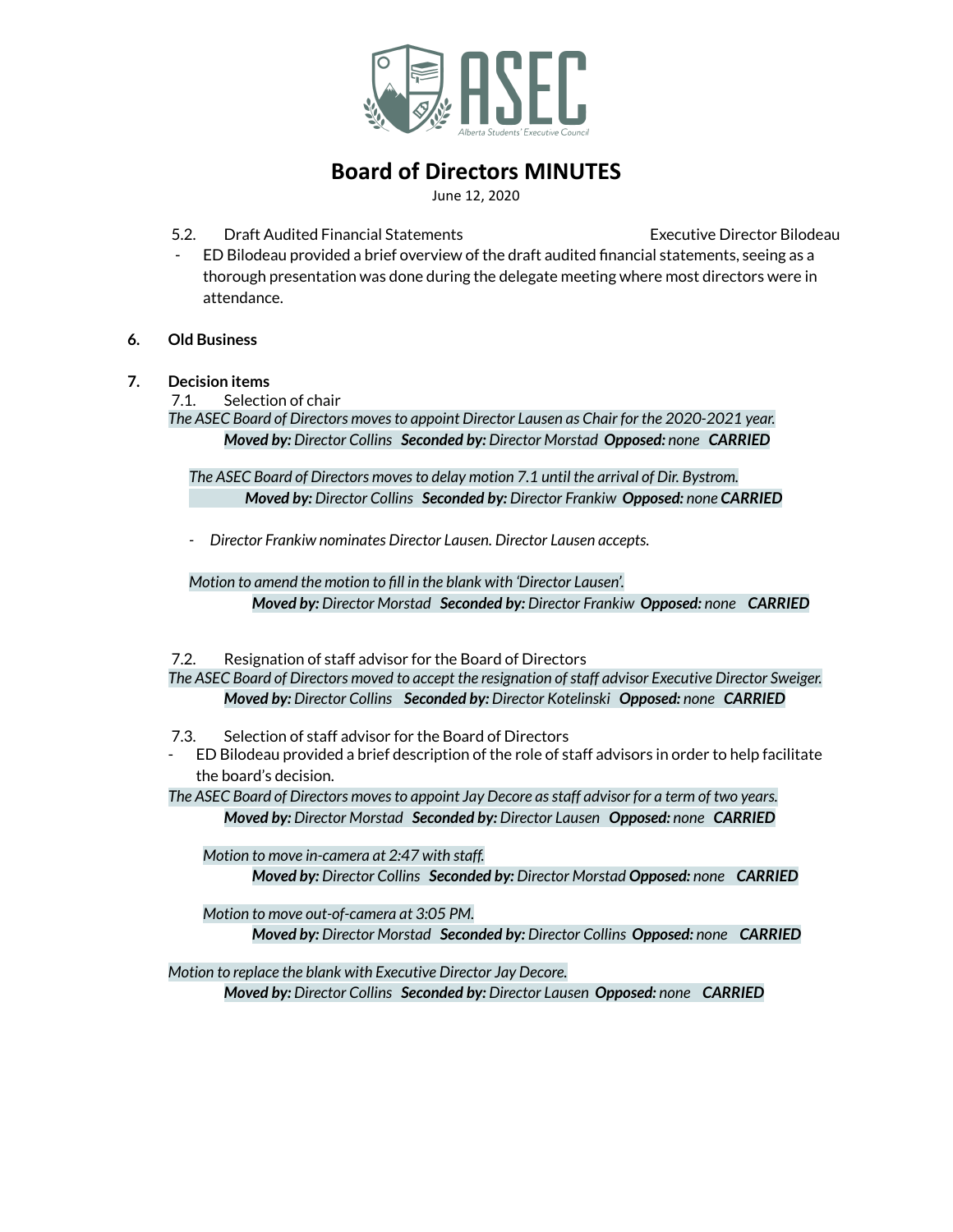

## **Board of Directors MINUTES**

June 12, 2020

- 5.2. Draft Audited Financial Statements Executive Director Bilodeau
- 
- ED Bilodeau provided a brief overview of the draft audited financial statements, seeing as a thorough presentation was done during the delegate meeting where most directors were in attendance.
- **6. Old Business**
- **7. Decision items**
	- 7.1. Selection of chair

*The ASEC Board of Directors movesto appoint Director Lausen as Chair for the 2020-2021 year. Moved by: Director Collins Seconded by: Director Morstad Opposed: none CARRIED*

*The ASEC Board of Directors movesto delay motion 7.1 until the arrival of Dir. Bystrom. Moved by: Director Collins Seconded by: Director Frankiw Opposed: none CARRIED*

*- Director Frankiw nominates Director Lausen. Director Lausen accepts.*

*Motion to amend the motion to fill in the blank with 'Director Lausen'. Moved by: Director Morstad Seconded by: Director Frankiw Opposed: none CARRIED*

7.2. Resignation of staff advisor for the Board of Directors

*The ASEC Board of Directors moved to accept the resignation ofstaff advisor Executive Director Sweiger. Moved by: Director Collins Seconded by: Director Kotelinski Opposed: none CARRIED*

- 7.3. Selection of staff advisor for the Board of Directors
- ED Bilodeau provided a brief description of the role of staff advisors in order to help facilitate the board's decision.

*The ASEC Board of Directors movesto appoint Jay Decore asstaff advisor for a term of two years. Moved by: Director Morstad Seconded by: Director Lausen Opposed: none CARRIED*

*Motion to move in-camera at 2:47 with staff. Moved by: Director Collins Seconded by: Director Morstad Opposed: none CARRIED*

*Motion to move out-of-camera at 3:05 PM.*

*Moved by: Director Morstad Seconded by: Director Collins Opposed: none CARRIED*

*Motion to replace the blank with Executive Director Jay Decore. Moved by: Director Collins Seconded by: Director Lausen Opposed: none CARRIED*